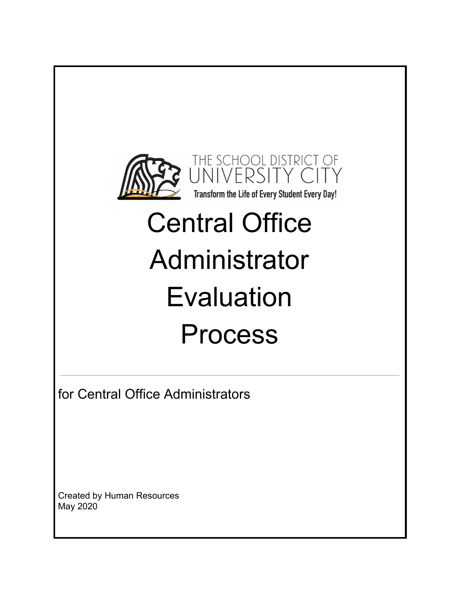

# Central Office Administrator Evaluation Process

for Central Office Administrators

Created by Human Resources May 2020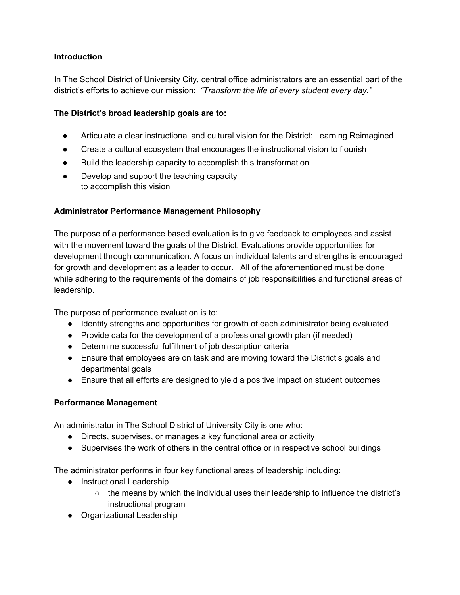# **Introduction**

In The School District of University City, central office administrators are an essential part of the district's efforts to achieve our mission: *"Transform the life of every student every day."*

## **The District's broad leadership goals are to:**

- Articulate a clear instructional and cultural vision for the District: Learning Reimagined
- Create a cultural ecosystem that encourages the instructional vision to flourish
- Build the leadership capacity to accomplish this transformation
- Develop and support the teaching capacity to accomplish this vision

#### **Administrator Performance Management Philosophy**

The purpose of a performance based evaluation is to give feedback to employees and assist with the movement toward the goals of the District. Evaluations provide opportunities for development through communication. A focus on individual talents and strengths is encouraged for growth and development as a leader to occur. All of the aforementioned must be done while adhering to the requirements of the domains of job responsibilities and functional areas of leadership.

The purpose of performance evaluation is to:

- Identify strengths and opportunities for growth of each administrator being evaluated
- Provide data for the development of a professional growth plan (if needed)
- Determine successful fulfillment of job description criteria
- Ensure that employees are on task and are moving toward the District's goals and departmental goals
- Ensure that all efforts are designed to yield a positive impact on student outcomes

#### **Performance Management**

An administrator in The School District of University City is one who:

- Directs, supervises, or manages a key functional area or activity
- Supervises the work of others in the central office or in respective school buildings

The administrator performs in four key functional areas of leadership including:

- Instructional Leadership
	- $\circ$  the means by which the individual uses their leadership to influence the district's instructional program
- Organizational Leadership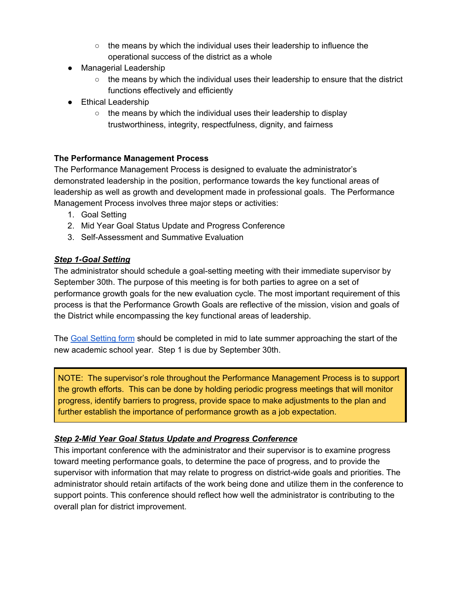- the means by which the individual uses their leadership to influence the operational success of the district as a whole
- Managerial Leadership
	- $\circ$  the means by which the individual uses their leadership to ensure that the district functions effectively and efficiently
- Ethical Leadership
	- $\circ$  the means by which the individual uses their leadership to display trustworthiness, integrity, respectfulness, dignity, and fairness

#### **The Performance Management Process**

The Performance Management Process is designed to evaluate the administrator's demonstrated leadership in the position, performance towards the key functional areas of leadership as well as growth and development made in professional goals. The Performance Management Process involves three major steps or activities:

- 1. Goal Setting
- 2. Mid Year Goal Status Update and Progress Conference
- 3. Self-Assessment and Summative Evaluation

# *Step 1-Goal Setting*

The administrator should schedule a goal-setting meeting with their immediate supervisor by September 30th. The purpose of this meeting is for both parties to agree on a set of performance growth goals for the new evaluation cycle. The most important requirement of this process is that the Performance Growth Goals are reflective of the mission, vision and goals of the District while encompassing the key functional areas of leadership.

The Goal [Setting](https://drive.google.com/file/d/13RAJRGSF95_36pIDmjmLu7wdOOufzAdh/view?usp=sharing) form should be completed in mid to late summer approaching the start of the new academic school year. Step 1 is due by September 30th.

NOTE: The supervisor's role throughout the Performance Management Process is to support the growth efforts. This can be done by holding periodic progress meetings that will monitor progress, identify barriers to progress, provide space to make adjustments to the plan and further establish the importance of performance growth as a job expectation.

# *Step 2-Mid Year Goal Status Update and Progress Conference*

This important conference with the administrator and their supervisor is to examine progress toward meeting performance goals, to determine the pace of progress, and to provide the supervisor with information that may relate to progress on district-wide goals and priorities. The administrator should retain artifacts of the work being done and utilize them in the conference to support points. This conference should reflect how well the administrator is contributing to the overall plan for district improvement.